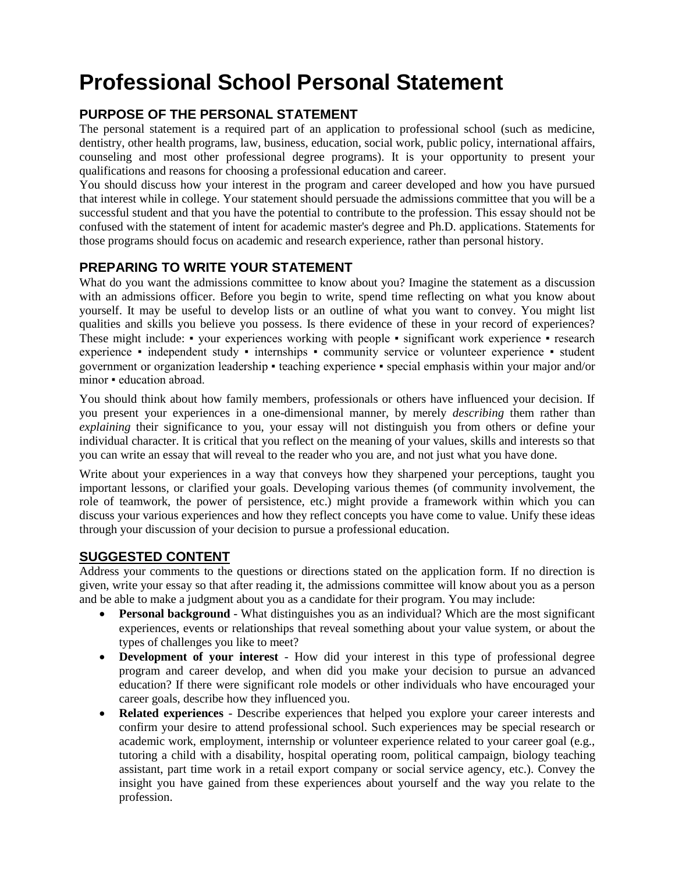# **Professional School Personal Statement**

# **PURPOSE OF THE PERSONAL STATEMENT**

The personal statement is a required part of an application to professional school (such as medicine, dentistry, other health programs, law, business, education, social work, public policy, international affairs, counseling and most other professional degree programs). It is your opportunity to present your qualifications and reasons for choosing a professional education and career.

You should discuss how your interest in the program and career developed and how you have pursued that interest while in college. Your statement should persuade the admissions committee that you will be a successful student and that you have the potential to contribute to the profession. This essay should not be confused with the statement of intent for academic master's degree and Ph.D. applications. Statements for those programs should focus on academic and research experience, rather than personal history.

# **PREPARING TO WRITE YOUR STATEMENT**

What do you want the admissions committee to know about you? Imagine the statement as a discussion with an admissions officer. Before you begin to write, spend time reflecting on what you know about yourself. It may be useful to develop lists or an outline of what you want to convey. You might list qualities and skills you believe you possess. Is there evidence of these in your record of experiences? These might include: • your experiences working with people • significant work experience • research experience • independent study • internships • community service or volunteer experience • student government or organization leadership ▪ teaching experience ▪ special emphasis within your major and/or minor • education abroad.

You should think about how family members, professionals or others have influenced your decision. If you present your experiences in a one-dimensional manner, by merely *describing* them rather than *explaining* their significance to you, your essay will not distinguish you from others or define your individual character. It is critical that you reflect on the meaning of your values, skills and interests so that you can write an essay that will reveal to the reader who you are, and not just what you have done.

Write about your experiences in a way that conveys how they sharpened your perceptions, taught you important lessons, or clarified your goals. Developing various themes (of community involvement, the role of teamwork, the power of persistence, etc.) might provide a framework within which you can discuss your various experiences and how they reflect concepts you have come to value. Unify these ideas through your discussion of your decision to pursue a professional education.

#### **SUGGESTED CONTENT**

Address your comments to the questions or directions stated on the application form. If no direction is given, write your essay so that after reading it, the admissions committee will know about you as a person and be able to make a judgment about you as a candidate for their program. You may include:

- **Personal background**  What distinguishes you as an individual? Which are the most significant experiences, events or relationships that reveal something about your value system, or about the types of challenges you like to meet?
- **Development of your interest**  How did your interest in this type of professional degree program and career develop, and when did you make your decision to pursue an advanced education? If there were significant role models or other individuals who have encouraged your career goals, describe how they influenced you.
- **Related experiences**  Describe experiences that helped you explore your career interests and confirm your desire to attend professional school. Such experiences may be special research or academic work, employment, internship or volunteer experience related to your career goal (e.g., tutoring a child with a disability, hospital operating room, political campaign, biology teaching assistant, part time work in a retail export company or social service agency, etc.). Convey the insight you have gained from these experiences about yourself and the way you relate to the profession.